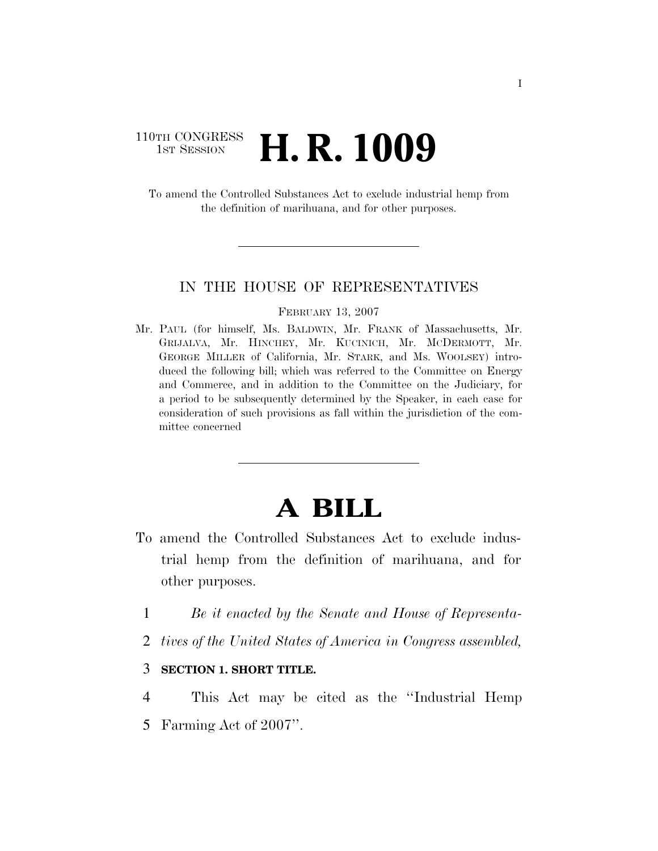# 110TH CONGRESS **1st Session H. R. 1009**

To amend the Controlled Substances Act to exclude industrial hemp from the definition of marihuana, and for other purposes.

### IN THE HOUSE OF REPRESENTATIVES

#### FEBRUARY 13, 2007

Mr. PAUL (for himself, Ms. BALDWIN, Mr. FRANK of Massachusetts, Mr. GRIJALVA, Mr. HINCHEY, Mr. KUCINICH, Mr. MCDERMOTT, Mr. GEORGE MILLER of California, Mr. STARK, and Ms. WOOLSEY) introduced the following bill; which was referred to the Committee on Energy and Commerce, and in addition to the Committee on the Judiciary, for a period to be subsequently determined by the Speaker, in each case for consideration of such provisions as fall within the jurisdiction of the committee concerned

# **A BILL**

- To amend the Controlled Substances Act to exclude industrial hemp from the definition of marihuana, and for other purposes.
	- 1 *Be it enacted by the Senate and House of Representa-*
	- 2 *tives of the United States of America in Congress assembled,*

## 3 **SECTION 1. SHORT TITLE.**

- 4 This Act may be cited as the ''Industrial Hemp
- 5 Farming Act of 2007''.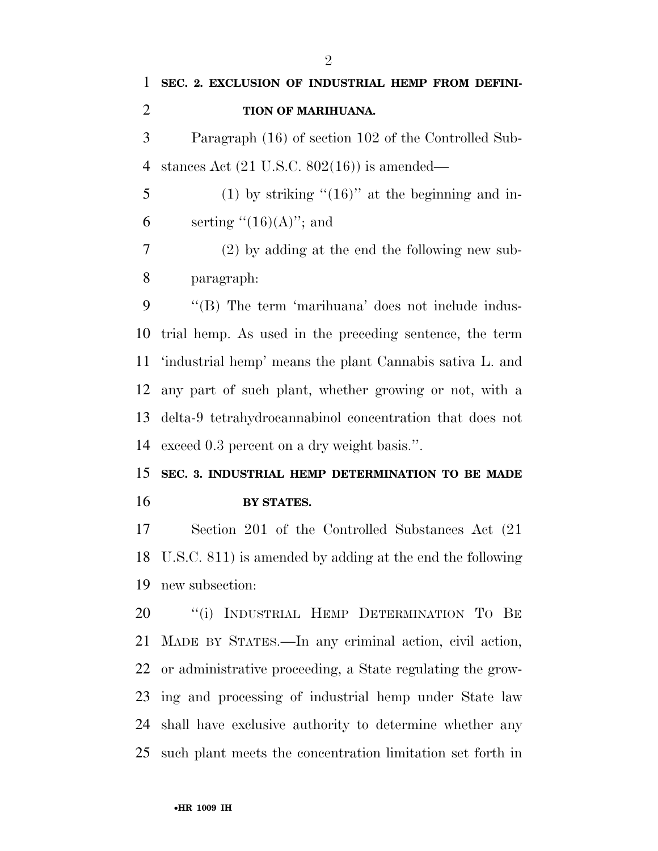**BY STATES.** 

 Section 201 of the Controlled Substances Act (21 U.S.C. 811) is amended by adding at the end the following new subsection:

20 "(i) INDUSTRIAL HEMP DETERMINATION TO BE MADE BY STATES.—In any criminal action, civil action, or administrative proceeding, a State regulating the grow- ing and processing of industrial hemp under State law shall have exclusive authority to determine whether any such plant meets the concentration limitation set forth in